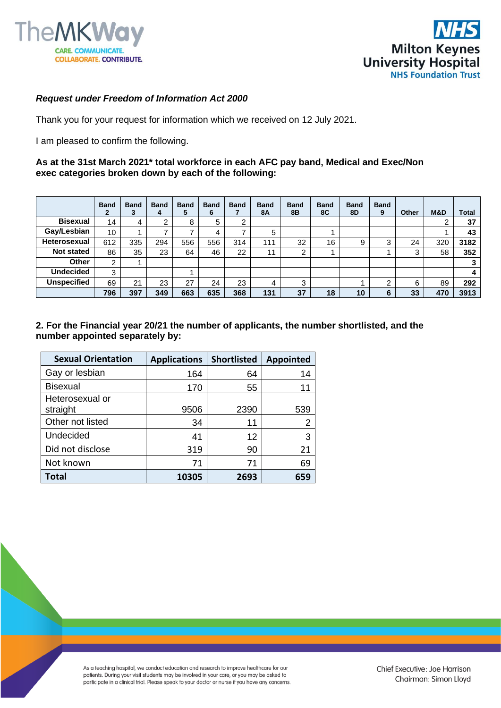



## *Request under Freedom of Information Act 2000*

Thank you for your request for information which we received on 12 July 2021.

I am pleased to confirm the following.

## **As at the 31st March 2021\* total workforce in each AFC pay band, Medical and Exec/Non exec categories broken down by each of the following:**

|                     | <b>Band</b><br>2 | <b>Band</b><br>J. | <b>Band</b><br>4 | <b>Band</b><br>5 | <b>Band</b><br>6 | <b>Band</b> | <b>Band</b><br>8Α | <b>Band</b><br>8Β | <b>Band</b><br>8C | <b>Band</b><br>8D | <b>Band</b><br>9 | Other | M&D | Total |
|---------------------|------------------|-------------------|------------------|------------------|------------------|-------------|-------------------|-------------------|-------------------|-------------------|------------------|-------|-----|-------|
| <b>Bisexual</b>     | 14               | 4                 | റ                | 8                | 5                | റ           |                   |                   |                   |                   |                  |       |     | 37    |
| Gay/Lesbian         | 10 <sup>1</sup>  |                   |                  | ⇁                | 4                |             | 5                 |                   |                   |                   |                  |       |     | 43    |
| <b>Heterosexual</b> | 612              | 335               | 294              | 556              | 556              | 314         | 111               | 32                | 16                | 9                 | 3                | 24    | 320 | 3182  |
| <b>Not stated</b>   | 86               | 35                | 23               | 64               | 46               | 22          | 11                | ົ                 |                   |                   |                  | 3     | 58  | 352   |
| Other               | 2                |                   |                  |                  |                  |             |                   |                   |                   |                   |                  |       |     | 3     |
| <b>Undecided</b>    | 3                |                   |                  |                  |                  |             |                   |                   |                   |                   |                  |       |     | 4     |
| <b>Unspecified</b>  | 69               | 21                | 23               | 27               | 24               | 23          | 4                 | 3                 |                   |                   | c                | 6     | 89  | 292   |
|                     | 796              | 397               | 349              | 663              | 635              | 368         | 131               | 37                | 18                | 10                | 6                | 33    | 470 | 3913  |

## **2. For the Financial year 20/21 the number of applicants, the number shortlisted, and the number appointed separately by:**

| <b>Sexual Orientation</b>   | <b>Applications</b> | <b>Shortlisted</b> | Appointed |
|-----------------------------|---------------------|--------------------|-----------|
| Gay or lesbian              | 164                 | 64                 | 14        |
| <b>Bisexual</b>             | 170                 | 55                 | 11        |
| Heterosexual or<br>straight | 9506                | 2390               | 539       |
| Other not listed            | 34                  | 11                 | 2         |
| Undecided                   | 41                  | 12                 | 3         |
| Did not disclose            | 319                 | 90                 | 21        |
| Not known                   | 71                  | 71                 | 69        |
| <b>Total</b>                | 10305               | 2693               | 659       |

As a teaching hospital, we conduct education and research to improve healthcare for our patients. During your visit students may be involved in your care, or you may be asked to participate in a clinical trial. Please speak to your doctor or nurse if you have any concerns.